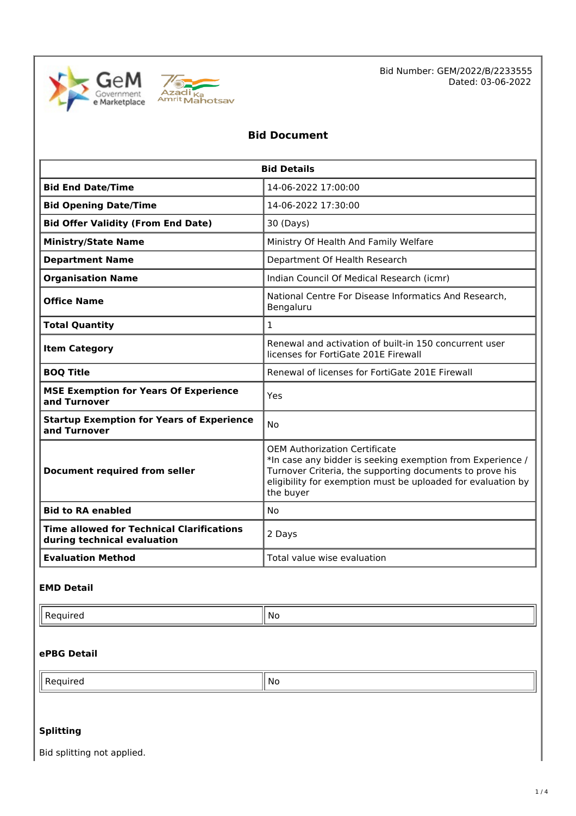



Bid Number: GEM/2022/B/2233555 Dated: 03-06-2022

## **Bid Document**

| <b>Bid Details</b>                                                              |                                                                                                                                                                                                                                             |  |  |  |
|---------------------------------------------------------------------------------|---------------------------------------------------------------------------------------------------------------------------------------------------------------------------------------------------------------------------------------------|--|--|--|
| <b>Bid End Date/Time</b>                                                        | 14-06-2022 17:00:00                                                                                                                                                                                                                         |  |  |  |
| <b>Bid Opening Date/Time</b>                                                    | 14-06-2022 17:30:00                                                                                                                                                                                                                         |  |  |  |
| <b>Bid Offer Validity (From End Date)</b>                                       | 30 (Days)                                                                                                                                                                                                                                   |  |  |  |
| <b>Ministry/State Name</b>                                                      | Ministry Of Health And Family Welfare                                                                                                                                                                                                       |  |  |  |
| <b>Department Name</b>                                                          | Department Of Health Research                                                                                                                                                                                                               |  |  |  |
| <b>Organisation Name</b>                                                        | Indian Council Of Medical Research (icmr)                                                                                                                                                                                                   |  |  |  |
| <b>Office Name</b>                                                              | National Centre For Disease Informatics And Research,<br>Bengaluru                                                                                                                                                                          |  |  |  |
| <b>Total Quantity</b><br>$\mathbf{1}$                                           |                                                                                                                                                                                                                                             |  |  |  |
| <b>Item Category</b>                                                            | Renewal and activation of built-in 150 concurrent user<br>licenses for FortiGate 201E Firewall                                                                                                                                              |  |  |  |
| <b>BOQ Title</b>                                                                | Renewal of licenses for FortiGate 201E Firewall                                                                                                                                                                                             |  |  |  |
| <b>MSE Exemption for Years Of Experience</b><br>and Turnover                    | Yes                                                                                                                                                                                                                                         |  |  |  |
| <b>Startup Exemption for Years of Experience</b><br>and Turnover                | <b>No</b>                                                                                                                                                                                                                                   |  |  |  |
| <b>Document required from seller</b>                                            | <b>OEM Authorization Certificate</b><br>*In case any bidder is seeking exemption from Experience /<br>Turnover Criteria, the supporting documents to prove his<br>eligibility for exemption must be uploaded for evaluation by<br>the buyer |  |  |  |
| <b>Bid to RA enabled</b>                                                        | N <sub>0</sub>                                                                                                                                                                                                                              |  |  |  |
| <b>Time allowed for Technical Clarifications</b><br>during technical evaluation | 2 Days                                                                                                                                                                                                                                      |  |  |  |
| <b>Evaluation Method</b>                                                        | Total value wise evaluation                                                                                                                                                                                                                 |  |  |  |

#### **EMD Detail**

 $\blacksquare$  Required  $\blacksquare$  No

## **ePBG Detail**

| n<br>، ت<br>,,,,,<br>∽ | N0 |
|------------------------|----|
| .                      |    |
|                        |    |

## **Splitting**

Bid splitting not applied.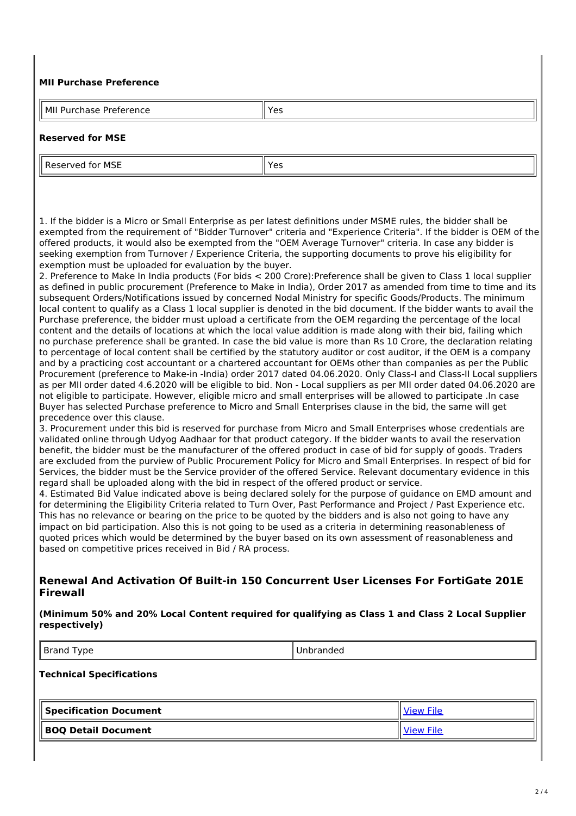#### **MII Purchase Preference**

| MII<br>Yes<br>$I$ rataranca<br>$     -$<br>-Purc<br>ference<br>د ،<br>chase<br>. .<br>. |  |
|-----------------------------------------------------------------------------------------|--|

#### **Reserved for MSE**

Reserved for MSE Yes

1. If the bidder is a Micro or Small Enterprise as per latest definitions under MSME rules, the bidder shall be exempted from the requirement of "Bidder Turnover" criteria and "Experience Criteria". If the bidder is OEM of the offered products, it would also be exempted from the "OEM Average Turnover" criteria. In case any bidder is seeking exemption from Turnover / Experience Criteria, the supporting documents to prove his eligibility for exemption must be uploaded for evaluation by the buyer.

2. Preference to Make In India products (For bids < 200 Crore):Preference shall be given to Class 1 local supplier as defined in public procurement (Preference to Make in India), Order 2017 as amended from time to time and its subsequent Orders/Notifications issued by concerned Nodal Ministry for specific Goods/Products. The minimum local content to qualify as a Class 1 local supplier is denoted in the bid document. If the bidder wants to avail the Purchase preference, the bidder must upload a certificate from the OEM regarding the percentage of the local content and the details of locations at which the local value addition is made along with their bid, failing which no purchase preference shall be granted. In case the bid value is more than Rs 10 Crore, the declaration relating to percentage of local content shall be certified by the statutory auditor or cost auditor, if the OEM is a company and by a practicing cost accountant or a chartered accountant for OEMs other than companies as per the Public Procurement (preference to Make-in -India) order 2017 dated 04.06.2020. Only Class-I and Class-II Local suppliers as per MII order dated 4.6.2020 will be eligible to bid. Non - Local suppliers as per MII order dated 04.06.2020 are not eligible to participate. However, eligible micro and small enterprises will be allowed to participate .In case Buyer has selected Purchase preference to Micro and Small Enterprises clause in the bid, the same will get precedence over this clause.

3. Procurement under this bid is reserved for purchase from Micro and Small Enterprises whose credentials are validated online through Udyog Aadhaar for that product category. If the bidder wants to avail the reservation benefit, the bidder must be the manufacturer of the offered product in case of bid for supply of goods. Traders are excluded from the purview of Public Procurement Policy for Micro and Small Enterprises. In respect of bid for Services, the bidder must be the Service provider of the offered Service. Relevant documentary evidence in this regard shall be uploaded along with the bid in respect of the offered product or service.

4. Estimated Bid Value indicated above is being declared solely for the purpose of guidance on EMD amount and for determining the Eligibility Criteria related to Turn Over, Past Performance and Project / Past Experience etc. This has no relevance or bearing on the price to be quoted by the bidders and is also not going to have any impact on bid participation. Also this is not going to be used as a criteria in determining reasonableness of quoted prices which would be determined by the buyer based on its own assessment of reasonableness and based on competitive prices received in Bid / RA process.

## **Renewal And Activation Of Built-in 150 Concurrent User Licenses For FortiGate 201E Firewall**

**(Minimum 50% and 20% Local Content required for qualifying as Class 1 and Class 2 Local Supplier respectively)**

Brand Type Unbranded

#### **Technical Specifications**

| Specification Document | <b>View File</b> |
|------------------------|------------------|
| BOQ Detail Document    |                  |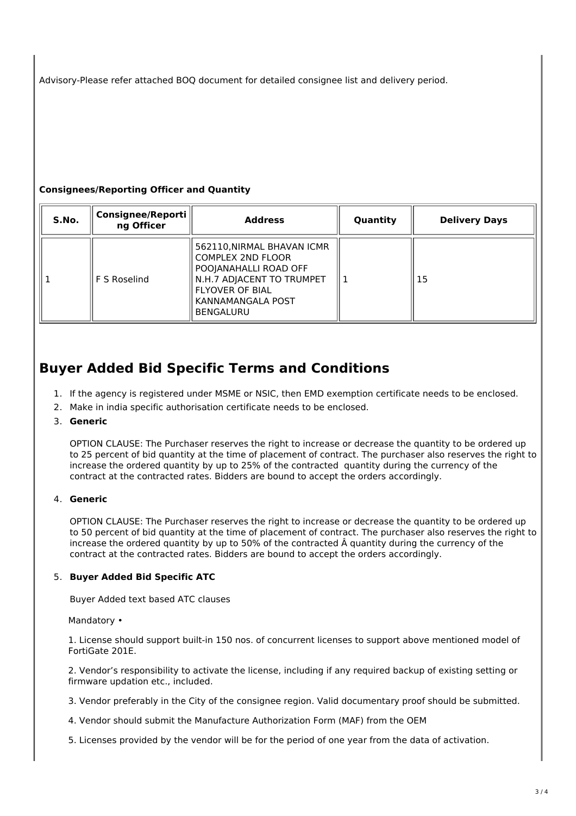Advisory-Please refer attached BOQ document for detailed consignee list and delivery period.

## **Consignees/Reporting Officer and Quantity**

| S.No. | <b>Consignee/Reporti</b><br>ng Officer | <b>Address</b>                                                                                                                                                                  | Quantity | <b>Delivery Days</b> |
|-------|----------------------------------------|---------------------------------------------------------------------------------------------------------------------------------------------------------------------------------|----------|----------------------|
|       | F S Roselind                           | 562110, NIRMAL BHAVAN ICMR<br><b>COMPLEX 2ND FLOOR</b><br>POOJANAHALLI ROAD OFF<br>N.H.7 ADJACENT TO TRUMPET<br><b>FLYOVER OF BIAL</b><br>KANNAMANGALA POST<br><b>BENGALURU</b> |          | 15                   |

# **Buyer Added Bid Specific Terms and Conditions**

- 1. If the agency is registered under MSME or NSIC, then EMD exemption certificate needs to be enclosed.
- 2. Make in india specific authorisation certificate needs to be enclosed.
- 3. **Generic**

OPTION CLAUSE: The Purchaser reserves the right to increase or decrease the quantity to be ordered up to 25 percent of bid quantity at the time of placement of contract. The purchaser also reserves the right to increase the ordered quantity by up to 25% of the contracted quantity during the currency of the contract at the contracted rates. Bidders are bound to accept the orders accordingly.

## 4. **Generic**

OPTION CLAUSE: The Purchaser reserves the right to increase or decrease the quantity to be ordered up to 50 percent of bid quantity at the time of placement of contract. The purchaser also reserves the right to increase the ordered quantity by up to 50% of the contracted Â quantity during the currency of the contract at the contracted rates. Bidders are bound to accept the orders accordingly.

## 5. **Buyer Added Bid Specific ATC**

Buyer Added text based ATC clauses

#### Mandatory •

1. License should support built-in 150 nos. of concurrent licenses to support above mentioned model of FortiGate 201E.

2. Vendor's responsibility to activate the license, including if any required backup of existing setting or firmware updation etc., included.

3. Vendor preferably in the City of the consignee region. Valid documentary proof should be submitted.

- 4. Vendor should submit the Manufacture Authorization Form (MAF) from the OEM
- 5. Licenses provided by the vendor will be for the period of one year from the data of activation.